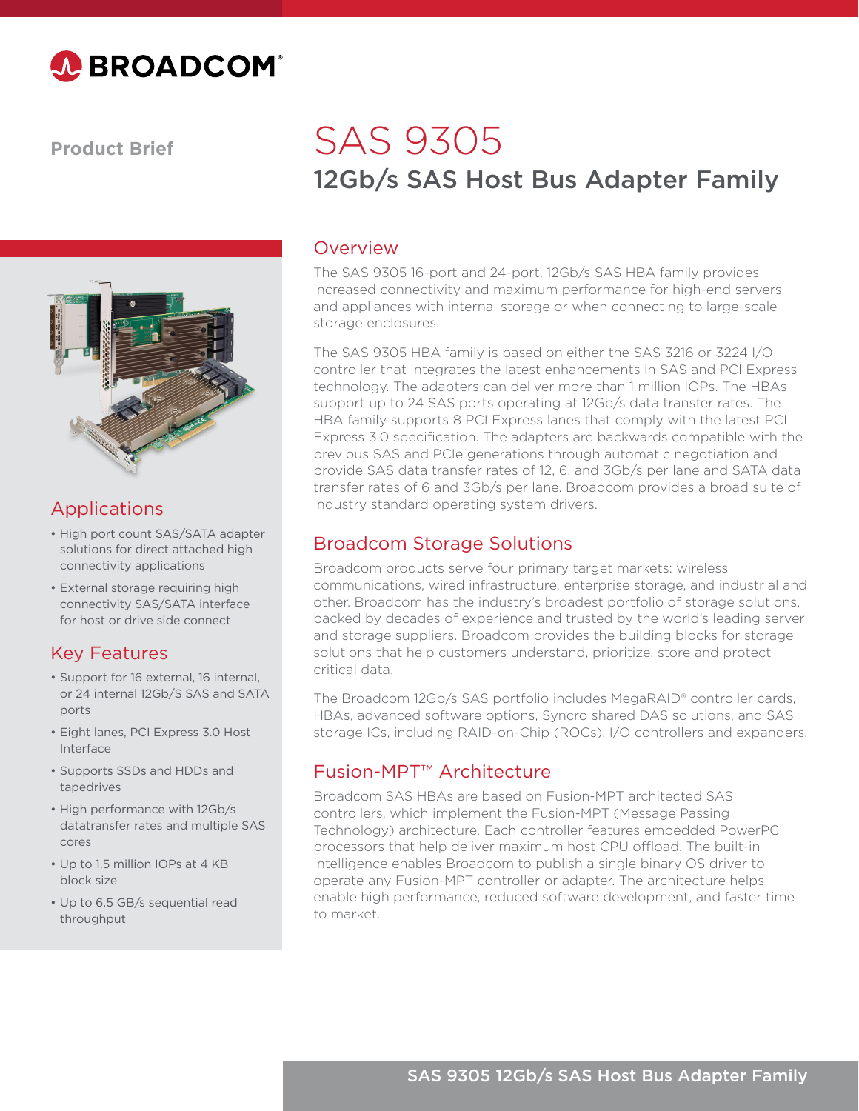

**Product Brief**



# Applications

- High port count SAS/SATA adapter solutions for direct attached high connectivity applications
- External storage requiring high connectivity SAS/SATA interface for host or drive side connect

### Key Features

- Support for 16 external, 16 internal, or 24 internal 12Gb/S SAS and SATA ports
- Eight lanes, PCI Express 3.0 Host Interface
- Supports SSDs and HDDs and tapedrives
- High performance with 12Gb/s datatransfer rates and multiple SAS cores
- Up to 1.5 million IOPs at 4 KB block size
- Up to 6.5 GB/s sequential read throughput

# 12Gb/s SAS Host Bus Adapter Family SAS 9305

#### Overview

The SAS 9305 16-port and 24-port, 12Gb/s SAS HBA family provides increased connectivity and maximum performance for high-end servers and appliances with internal storage or when connecting to large-scale storage enclosures.

The SAS 9305 HBA family is based on either the SAS 3216 or 3224 I/O controller that integrates the latest enhancements in SAS and PCI Express technology. The adapters can deliver more than 1 million IOPs. The HBAs support up to 24 SAS ports operating at 12Gb/s data transfer rates. The HBA family supports 8 PCI Express lanes that comply with the latest PCI Express 3.0 specification. The adapters are backwards compatible with the previous SAS and PCIe generations through automatic negotiation and provide SAS data transfer rates of 12, 6, and 3Gb/s per lane and SATA data transfer rates of 6 and 3Gb/s per lane. Broadcom provides a broad suite of industry standard operating system drivers.

### Broadcom Storage Solutions

Broadcom products serve four primary target markets: wireless communications, wired infrastructure, enterprise storage, and industrial and other. Broadcom has the industry's broadest portfolio of storage solutions, backed by decades of experience and trusted by the world's leading server and storage suppliers. Broadcom provides the building blocks for storage solutions that help customers understand, prioritize, store and protect critical data.

The Broadcom 12Gb/s SAS portfolio includes MegaRAID® controller cards, HBAs, advanced software options, Syncro shared DAS solutions, and SAS storage ICs, including RAID-on-Chip (ROCs), I/O controllers and expanders.

#### Fusion-MPT™ Architecture

Broadcom SAS HBAs are based on Fusion-MPT architected SAS controllers, which implement the Fusion-MPT (Message Passing Technology) architecture. Each controller features embedded PowerPC processors that help deliver maximum host CPU offload. The built-in intelligence enables Broadcom to publish a single binary OS driver to operate any Fusion-MPT controller or adapter. The architecture helps enable high performance, reduced software development, and faster time to market.